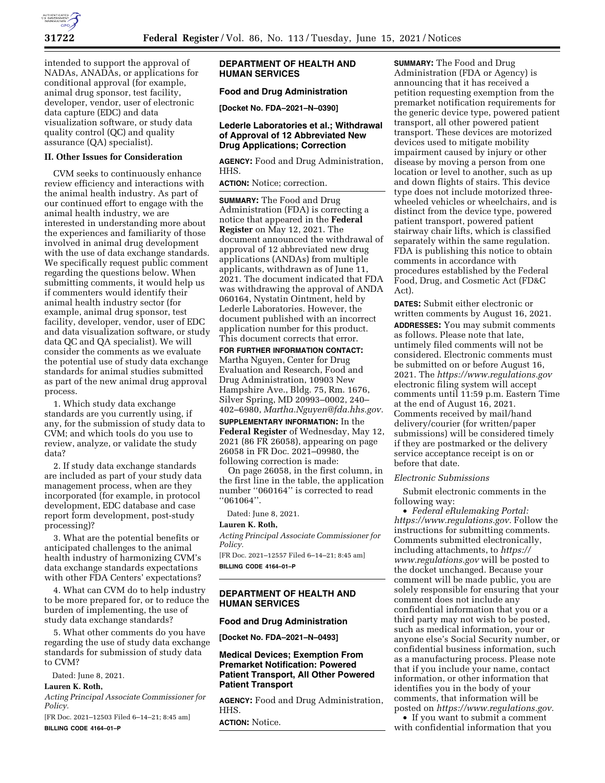

intended to support the approval of NADAs, ANADAs, or applications for conditional approval (for example, animal drug sponsor, test facility, developer, vendor, user of electronic data capture (EDC) and data visualization software, or study data quality control (QC) and quality assurance (QA) specialist).

# **II. Other Issues for Consideration**

CVM seeks to continuously enhance review efficiency and interactions with the animal health industry. As part of our continued effort to engage with the animal health industry, we are interested in understanding more about the experiences and familiarity of those involved in animal drug development with the use of data exchange standards. We specifically request public comment regarding the questions below. When submitting comments, it would help us if commenters would identify their animal health industry sector (for example, animal drug sponsor, test facility, developer, vendor, user of EDC and data visualization software, or study data QC and QA specialist). We will consider the comments as we evaluate the potential use of study data exchange standards for animal studies submitted as part of the new animal drug approval process.

1. Which study data exchange standards are you currently using, if any, for the submission of study data to CVM; and which tools do you use to review, analyze, or validate the study data?

2. If study data exchange standards are included as part of your study data management process, when are they incorporated (for example, in protocol development, EDC database and case report form development, post-study processing)?

3. What are the potential benefits or anticipated challenges to the animal health industry of harmonizing CVM's data exchange standards expectations with other FDA Centers' expectations?

4. What can CVM do to help industry to be more prepared for, or to reduce the burden of implementing, the use of study data exchange standards?

5. What other comments do you have regarding the use of study data exchange standards for submission of study data to CVM?

Dated: June 8, 2021.

# **Lauren K. Roth,**

*Acting Principal Associate Commissioner for Policy.* 

[FR Doc. 2021–12503 Filed 6–14–21; 8:45 am] **BILLING CODE 4164–01–P** 

# **DEPARTMENT OF HEALTH AND HUMAN SERVICES**

# **Food and Drug Administration**

**[Docket No. FDA–2021–N–0390]** 

## **Lederle Laboratories et al.; Withdrawal of Approval of 12 Abbreviated New Drug Applications; Correction**

**AGENCY:** Food and Drug Administration, HHS.

**ACTION:** Notice; correction.

**SUMMARY:** The Food and Drug Administration (FDA) is correcting a notice that appeared in the **Federal Register** on May 12, 2021. The document announced the withdrawal of approval of 12 abbreviated new drug applications (ANDAs) from multiple applicants, withdrawn as of June 11, 2021. The document indicated that FDA was withdrawing the approval of ANDA 060164, Nystatin Ointment, held by Lederle Laboratories. However, the document published with an incorrect application number for this product. This document corrects that error.

**FOR FURTHER INFORMATION CONTACT:**  Martha Nguyen, Center for Drug Evaluation and Research, Food and Drug Administration, 10903 New Hampshire Ave., Bldg. 75, Rm. 1676, Silver Spring, MD 20993–0002, 240– 402–6980, *[Martha.Nguyen@fda.hhs.gov.](mailto:Martha.Nguyen@fda.hhs.gov)* 

**SUPPLEMENTARY INFORMATION:** In the **Federal Register** of Wednesday, May 12, 2021 (86 FR 26058), appearing on page 26058 in FR Doc. 2021–09980, the following correction is made:

On page 26058, in the first column, in the first line in the table, the application number ''060164'' is corrected to read ''061064''.

Dated: June 8, 2021.

## **Lauren K. Roth,**

*Acting Principal Associate Commissioner for Policy.* 

[FR Doc. 2021–12557 Filed 6–14–21; 8:45 am] **BILLING CODE 4164–01–P** 

## **DEPARTMENT OF HEALTH AND HUMAN SERVICES**

#### **Food and Drug Administration**

**[Docket No. FDA–2021–N–0493]** 

## **Medical Devices; Exemption From Premarket Notification: Powered Patient Transport, All Other Powered Patient Transport**

**AGENCY:** Food and Drug Administration, HHS.

**ACTION:** Notice.

**SUMMARY:** The Food and Drug Administration (FDA or Agency) is announcing that it has received a petition requesting exemption from the premarket notification requirements for the generic device type, powered patient transport, all other powered patient transport. These devices are motorized devices used to mitigate mobility impairment caused by injury or other disease by moving a person from one location or level to another, such as up and down flights of stairs. This device type does not include motorized threewheeled vehicles or wheelchairs, and is distinct from the device type, powered patient transport, powered patient stairway chair lifts, which is classified separately within the same regulation. FDA is publishing this notice to obtain comments in accordance with procedures established by the Federal Food, Drug, and Cosmetic Act (FD&C Act).

**DATES:** Submit either electronic or written comments by August 16, 2021. **ADDRESSES:** You may submit comments as follows. Please note that late, untimely filed comments will not be considered. Electronic comments must be submitted on or before August 16, 2021. The *<https://www.regulations.gov>* electronic filing system will accept comments until 11:59 p.m. Eastern Time at the end of August 16, 2021. Comments received by mail/hand delivery/courier (for written/paper submissions) will be considered timely if they are postmarked or the delivery service acceptance receipt is on or before that date.

## *Electronic Submissions*

Submit electronic comments in the following way:

• *Federal eRulemaking Portal: [https://www.regulations.gov.](https://www.regulations.gov)* Follow the instructions for submitting comments. Comments submitted electronically, including attachments, to *[https://](https://www.regulations.gov) [www.regulations.gov](https://www.regulations.gov)* will be posted to the docket unchanged. Because your comment will be made public, you are solely responsible for ensuring that your comment does not include any confidential information that you or a third party may not wish to be posted, such as medical information, your or anyone else's Social Security number, or confidential business information, such as a manufacturing process. Please note that if you include your name, contact information, or other information that identifies you in the body of your comments, that information will be posted on *[https://www.regulations.gov.](https://www.regulations.gov)* 

• If you want to submit a comment with confidential information that you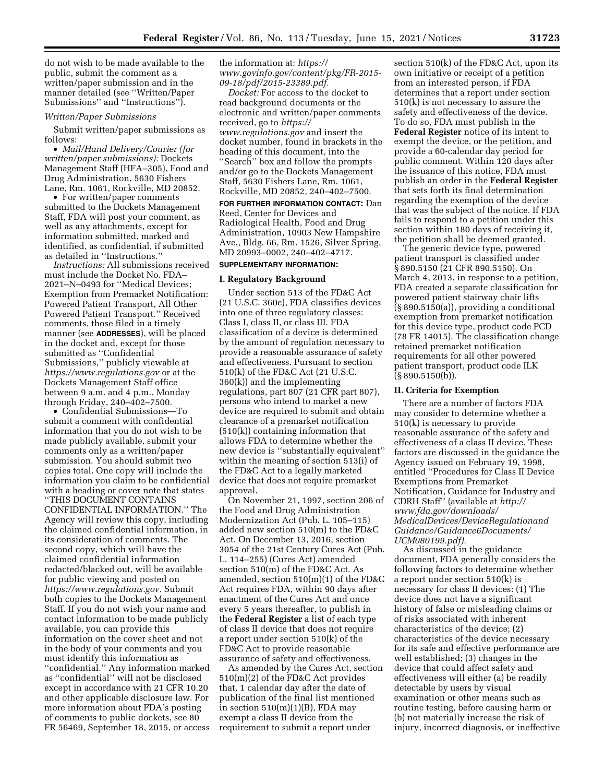do not wish to be made available to the public, submit the comment as a written/paper submission and in the manner detailed (see ''Written/Paper Submissions'' and ''Instructions'').

## *Written/Paper Submissions*

Submit written/paper submissions as follows:

• *Mail/Hand Delivery/Courier (for written/paper submissions):* Dockets Management Staff (HFA–305), Food and Drug Administration, 5630 Fishers Lane, Rm. 1061, Rockville, MD 20852.

• For written/paper comments submitted to the Dockets Management Staff, FDA will post your comment, as well as any attachments, except for information submitted, marked and identified, as confidential, if submitted as detailed in ''Instructions.''

*Instructions:* All submissions received must include the Docket No. FDA– 2021–N–0493 for ''Medical Devices; Exemption from Premarket Notification: Powered Patient Transport, All Other Powered Patient Transport.'' Received comments, those filed in a timely manner (see **ADDRESSES**), will be placed in the docket and, except for those submitted as ''Confidential Submissions,'' publicly viewable at *<https://www.regulations.gov>* or at the Dockets Management Staff office between 9 a.m. and 4 p.m., Monday through Friday, 240–402–7500.

• Confidential Submissions—To submit a comment with confidential information that you do not wish to be made publicly available, submit your comments only as a written/paper submission. You should submit two copies total. One copy will include the information you claim to be confidential with a heading or cover note that states ''THIS DOCUMENT CONTAINS CONFIDENTIAL INFORMATION.'' The Agency will review this copy, including the claimed confidential information, in its consideration of comments. The second copy, which will have the claimed confidential information redacted/blacked out, will be available for public viewing and posted on *[https://www.regulations.gov.](https://www.regulations.gov)* Submit both copies to the Dockets Management Staff. If you do not wish your name and contact information to be made publicly available, you can provide this information on the cover sheet and not in the body of your comments and you must identify this information as ''confidential.'' Any information marked as ''confidential'' will not be disclosed except in accordance with 21 CFR 10.20 and other applicable disclosure law. For more information about FDA's posting of comments to public dockets, see 80 FR 56469, September 18, 2015, or access

the information at: *[https://](https://www.govinfo.gov/content/pkg/FR-2015-09-18/pdf/2015-23389.pdf) [www.govinfo.gov/content/pkg/FR-2015-](https://www.govinfo.gov/content/pkg/FR-2015-09-18/pdf/2015-23389.pdf) [09-18/pdf/2015-23389.pdf.](https://www.govinfo.gov/content/pkg/FR-2015-09-18/pdf/2015-23389.pdf)* 

*Docket:* For access to the docket to read background documents or the electronic and written/paper comments received, go to *[https://](https://www.regulations.gov) [www.regulations.gov](https://www.regulations.gov)* and insert the docket number, found in brackets in the heading of this document, into the ''Search'' box and follow the prompts and/or go to the Dockets Management Staff, 5630 Fishers Lane, Rm. 1061, Rockville, MD 20852, 240–402–7500.

**FOR FURTHER INFORMATION CONTACT:** Dan Reed, Center for Devices and Radiological Health, Food and Drug Administration, 10903 New Hampshire Ave., Bldg. 66, Rm. 1526, Silver Spring, MD 20993–0002, 240–402–4717.

# **SUPPLEMENTARY INFORMATION:**

## **I. Regulatory Background**

Under section 513 of the FD&C Act (21 U.S.C. 360c), FDA classifies devices into one of three regulatory classes: Class I, class II, or class III. FDA classification of a device is determined by the amount of regulation necessary to provide a reasonable assurance of safety and effectiveness. Pursuant to section 510(k) of the FD&C Act (21 U.S.C. 360(k)) and the implementing regulations, part 807 (21 CFR part 807), persons who intend to market a new device are required to submit and obtain clearance of a premarket notification (510(k)) containing information that allows FDA to determine whether the new device is ''substantially equivalent'' within the meaning of section 513(i) of the FD&C Act to a legally marketed device that does not require premarket approval.

On November 21, 1997, section 206 of the Food and Drug Administration Modernization Act (Pub. L. 105–115) added new section 510(m) to the FD&C Act. On December 13, 2016, section 3054 of the 21st Century Cures Act (Pub. L. 114–255) (Cures Act) amended section 510(m) of the FD&C Act. As amended, section 510(m)(1) of the FD&C Act requires FDA, within 90 days after enactment of the Cures Act and once every 5 years thereafter, to publish in the **Federal Register** a list of each type of class II device that does not require a report under section 510(k) of the FD&C Act to provide reasonable assurance of safety and effectiveness.

As amended by the Cures Act, section 510(m)(2) of the FD&C Act provides that, 1 calendar day after the date of publication of the final list mentioned in section  $510(m)(1)(B)$ , FDA may exempt a class II device from the requirement to submit a report under

section 510(k) of the FD&C Act, upon its own initiative or receipt of a petition from an interested person, if FDA determines that a report under section 510(k) is not necessary to assure the safety and effectiveness of the device. To do so, FDA must publish in the **Federal Register** notice of its intent to exempt the device, or the petition, and provide a 60-calendar day period for public comment. Within 120 days after the issuance of this notice, FDA must publish an order in the **Federal Register**  that sets forth its final determination regarding the exemption of the device that was the subject of the notice. If FDA fails to respond to a petition under this section within 180 days of receiving it, the petition shall be deemed granted.

The generic device type, powered patient transport is classified under § 890.5150 (21 CFR 890.5150). On March 4, 2013, in response to a petition, FDA created a separate classification for powered patient stairway chair lifts (§ 890.5150(a)), providing a conditional exemption from premarket notification for this device type, product code PCD (78 FR 14015). The classification change retained premarket notification requirements for all other powered patient transport, product code ILK (§ 890.5150(b)).

#### **II. Criteria for Exemption**

There are a number of factors FDA may consider to determine whether a 510(k) is necessary to provide reasonable assurance of the safety and effectiveness of a class II device. These factors are discussed in the guidance the Agency issued on February 19, 1998, entitled ''Procedures for Class II Device Exemptions from Premarket Notification, Guidance for Industry and CDRH Staff'' (available at *[http://](http://www.fda.gov/downloads/MedicalDevices/DeviceRegulationandGuidance/Guidance6Documents/UCM080199.pdf) [www.fda.gov/downloads/](http://www.fda.gov/downloads/MedicalDevices/DeviceRegulationandGuidance/Guidance6Documents/UCM080199.pdf) [MedicalDevices/DeviceRegulationand](http://www.fda.gov/downloads/MedicalDevices/DeviceRegulationandGuidance/Guidance6Documents/UCM080199.pdf) [Guidance/Guidance6Documents/](http://www.fda.gov/downloads/MedicalDevices/DeviceRegulationandGuidance/Guidance6Documents/UCM080199.pdf) [UCM080199.pdf\).](http://www.fda.gov/downloads/MedicalDevices/DeviceRegulationandGuidance/Guidance6Documents/UCM080199.pdf)* 

As discussed in the guidance document, FDA generally considers the following factors to determine whether a report under section 510(k) is necessary for class II devices: (1) The device does not have a significant history of false or misleading claims or of risks associated with inherent characteristics of the device; (2) characteristics of the device necessary for its safe and effective performance are well established; (3) changes in the device that could affect safety and effectiveness will either (a) be readily detectable by users by visual examination or other means such as routine testing, before causing harm or (b) not materially increase the risk of injury, incorrect diagnosis, or ineffective